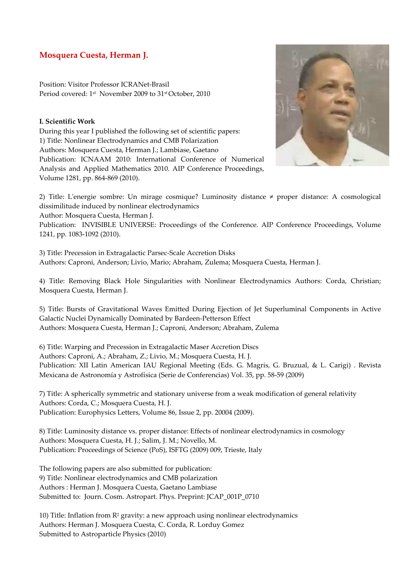# **Mosquera Cuesta, Herman J.**

Position: Visitor Professor ICRANet-Brasil Period covered: 1st November 2009 to 31st October, 2010

# **I. Scientific Work**

During this year I published the following set of scientific papers: 1) Title: Nonlinear Electrodynamics and CMB Polarization Authors: Mosquera Cuesta, Herman J.; Lambiase, Gaetano Publication: ICNAAM 2010: International Conference of Numerical Analysis and Applied Mathematics 2010. AIP Conference Proceedings, Volume 1281, pp. 864-869 (2010).



2) Title: L'energie sombre: Un mirage cosmique? Luminosity distance ≠ proper distance: A cosmological dissimilitude induced by nonlinear electrodynamics

Author: Mosquera Cuesta, Herman J.

Publication: INVISIBLE UNIVERSE: Proceedings of the Conference. AIP Conference Proceedings, Volume 1241, pp. 1083-1092 (2010).

3) Title: Precession in Extragalactic Parsec-Scale Accretion Disks Authors: Caproni, Anderson; Livio, Mario; Abraham, Zulema; Mosquera Cuesta, Herman J.

4) Title: Removing Black Hole Singularities with Nonlinear Electrodynamics Authors: Corda, Christian; Mosquera Cuesta, Herman J.

5) Title: Bursts of Gravitational Waves Emitted During Ejection of Jet Superluminal Components in Active Galactic Nuclei Dynamically Dominated by Bardeen-Petterson Effect Authors: Mosquera Cuesta, Herman J.; Caproni, Anderson; Abraham, Zulema

6) Title: Warping and Precession in Extragalactic Maser Accretion Discs Authors: Caproni, A.; Abraham, Z.; Livio, M.; Mosquera Cuesta, H. J. Publication: XII Latin American IAU Regional Meeting (Eds. G. Magris, G. Bruzual, & L. Carigi) . Revista Mexicana de Astronomía y Astrofísica (Serie de Conferencias) Vol. 35, pp. 58-59 (2009)

7) Title: A spherically symmetric and stationary universe from a weak modification of general relativity Authors: Corda, C.; Mosquera Cuesta, H. J. Publication: Europhysics Letters, Volume 86, Issue 2, pp. 20004 (2009).

8) Title: Luminosity distance vs. proper distance: Effects of nonlinear electrodynamics in cosmology Authors: Mosquera Cuesta, H. J.; Salim, J. M.; Novello, M. Publication: Proceedings of Science (PoS), ISFTG (2009) 009, Trieste, Italy

The following papers are also submitted for publication: 9) Title: Nonlinear electrodynamics and CMB polarization Authors : Herman J. Mosquera Cuesta, Gaetano Lambiase Submitted to: Journ. Cosm. Astropart. Phys. Preprint: JCAP\_001P\_0710

10) Title: Inflation from  $\mathbb{R}^2$  gravity: a new approach using nonlinear electrodynamics Authors: Herman J. Mosquera Cuesta, C. Corda, R. Lorduy Gomez Submitted to Astroparticle Physics (2010)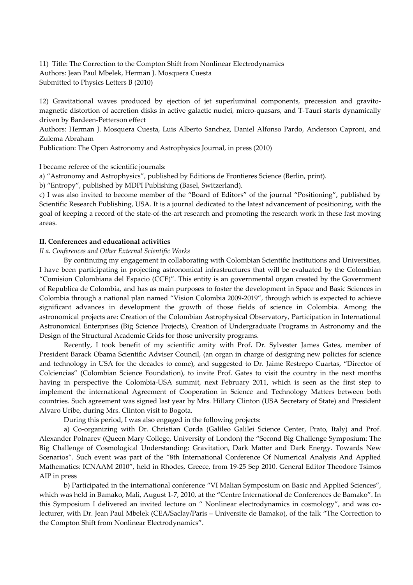11) Title: The Correction to the Compton Shift from Nonlinear Electrodynamics Authors: Jean Paul Mbelek, Herman J. Mosquera Cuesta Submitted to Physics Letters B (2010)

12) Gravitational waves produced by ejection of jet superluminal components, precession and gravitomagnetic distortion of accretion disks in active galactic nuclei, micro-quasars, and T-Tauri starts dynamically driven by Bardeen-Petterson effect

Authors: Herman J. Mosquera Cuesta, Luis Alberto Sanchez, Daniel Alfonso Pardo, Anderson Caproni, and Zulema Abraham

Publication: The Open Astronomy and Astrophysics Journal, in press (2010)

I became referee of the scientific journals:

a) "Astronomy and Astrophysics", published by Editions de Frontieres Science (Berlin, print).

b) "Entropy", published by MDPI Publishing (Basel, Switzerland).

c) I was also invited to become member of the "Board of Editors" of the journal "Positioning", published by Scientific Research Publishing, USA. It is a journal dedicated to the latest advancement of positioning, with the goal of keeping a record of the state-of-the-art research and promoting the research work in these fast moving areas.

# **II. Conferences and educational activities**

*II a. Conferences and Other External Scientific Works* 

By continuing my engagement in collaborating with Colombian Scientific Institutions and Universities, I have been participating in projecting astronomical infrastructures that will be evaluated by the Colombian "Comision Colombiana del Espacio (CCE)". This entity is an governmental organ created by the Government of Republica de Colombia, and has as main purposes to foster the development in Space and Basic Sciences in Colombia through a national plan named "Vision Colombia 2009-2019", through which is expected to achieve significant advances in development the growth of those fields of science in Colombia. Among the astronomical projects are: Creation of the Colombian Astrophysical Observatory, Participation in International Astronomical Enterprises (Big Science Projects), Creation of Undergraduate Programs in Astronomy and the Design of the Structural Academic Grids for those university programs.

 Recently, I took benefit of my scientific amity with Prof. Dr. Sylvester James Gates, member of President Barack Obama Scientific Adviser Council, (an organ in charge of designing new policies for science and technology in USA for the decades to come), and suggested to Dr. Jaime Restrepo Cuartas, "Director of Colciencias" (Colombian Science Foundation), to invite Prof. Gates to visit the country in the next months having in perspective the Colombia-USA summit, next February 2011, which is seen as the first step to implement the international Agreement of Cooperation in Science and Technology Matters between both countries. Such agreement was signed last year by Mrs. Hillary Clinton (USA Secretary of State) and President Alvaro Uribe, during Mrs. Clinton visit to Bogota.

During this period, I was also engaged in the following projects:

 a) Co-organizing with Dr. Christian Corda (Galileo Galilei Science Center, Prato, Italy) and Prof. Alexander Polnarev (Queen Mary College, University of London) the "Second Big Challenge Symposium: The Big Challenge of Cosmological Understanding: Gravitation, Dark Matter and Dark Energy. Towards New Scenarios". Such event was part of the "8th International Conference Of Numerical Analysis And Applied Mathematics: ICNAAM 2010", held in Rhodes, Greece, from 19-25 Sep 2010. General Editor Theodore Tsimos AIP in press

 b) Participated in the international conference "VI Malian Symposium on Basic and Applied Sciences", which was held in Bamako, Mali, August 1-7, 2010, at the "Centre International de Conferences de Bamako". In this Symposium I delivered an invited lecture on " Nonlinear electrodynamics in cosmology", and was colecturer, with Dr. Jean Paul Mbelek (CEA/Saclay/Paris – Universite de Bamako), of the talk "The Correction to the Compton Shift from Nonlinear Electrodynamics".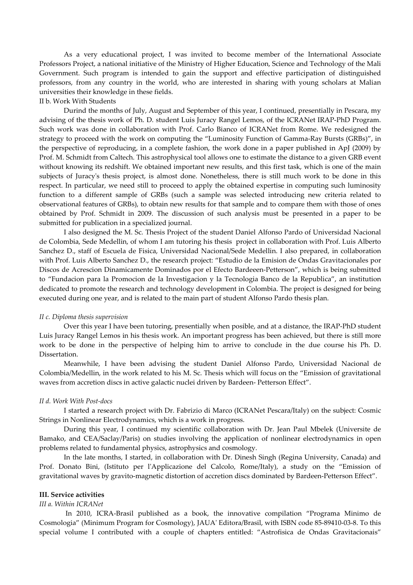As a very educational project, I was invited to become member of the International Associate Professors Project, a national initiative of the Ministry of Higher Education, Science and Technology of the Mali Government. Such program is intended to gain the support and effective participation of distinguished professors, from any country in the world, who are interested in sharing with young scholars at Malian universities their knowledge in these fields.

# II b. Work With Students

 Durind the months of July, August and September of this year, I continued, presentially in Pescara, my advising of the thesis work of Ph. D. student Luis Juracy Rangel Lemos, of the ICRANet IRAP-PhD Program. Such work was done in collaboration with Prof. Carlo Bianco of ICRANet from Rome. We redesigned the strategy to proceed with the work on computing the "Luminosity Function of Gamma-Ray Bursts (GRBs)", in the perspective of reproducing, in a complete fashion, the work done in a paper published in ApJ (2009) by Prof. M. Schmidt from Caltech. This astrophysical tool allows one to estimate the distance to a given GRB event without knowing its redshift. We obtained important new results, and this first task, which is one of the main subjects of Juracy's thesis project, is almost done. Nonetheless, there is still much work to be done in this respect. In particular, we need still to proceed to apply the obtained expertise in computing such luminosity function to a different sample of GRBs (such a sample was selected introducing new criteria related to observational features of GRBs), to obtain new results for that sample and to compare them with those of ones obtained by Prof. Schmidt in 2009. The discussion of such analysis must be presented in a paper to be submitted for publication in a specialized journal.

 I also designed the M. Sc. Thesis Project of the student Daniel Alfonso Pardo of Universidad Nacional de Colombia, Sede Medellin, of whom I am tutoring his thesis project in collaboration with Prof. Luis Alberto Sanchez D., staff of Escuela de Fisica, Universidad Nacional/Sede Medellin. I also prepared, in collaboration with Prof. Luis Alberto Sanchez D., the research project: "Estudio de la Emision de Ondas Gravitacionales por Discos de Acrescion Dinamicamente Dominados por el Efecto Bardeeen-Petterson", which is being submitted to "Fundacion para la Promocion de la Investigacion y la Tecnologia Banco de la Republica", an institution dedicated to promote the research and technology development in Colombia. The project is designed for being executed during one year, and is related to the main part of student Alfonso Pardo thesis plan.

#### *II c. Diploma thesis supervision*

 Over this year I have been tutoring, presentially when posible, and at a distance, the IRAP-PhD student Luis Juracy Rangel Lemos in his thesis work. An important progress has been achieved, but there is still more work to be done in the perspective of helping him to arrive to conclude in the due course his Ph. D. Dissertation.

 Meanwhile, I have been advising the student Daniel Alfonso Pardo, Universidad Nacional de Colombia/Medellin, in the work related to his M. Sc. Thesis which will focus on the "Emission of gravitational waves from accretion discs in active galactic nuclei driven by Bardeen- Petterson Effect".

### *II d. Work With Post-docs*

 I started a research project with Dr. Fabrizio di Marco (ICRANet Pescara/Italy) on the subject: Cosmic Strings in Nonlinear Electrodynamics, which is a work in progress.

 During this year, I continued my scientific collaboration with Dr. Jean Paul Mbelek (Universite de Bamako, and CEA/Saclay/Paris) on studies involving the application of nonlinear electrodynamics in open problems related to fundamental physics, astrophysics and cosmology.

 In the late months, I started, in collaboration with Dr. Dinesh Singh (Regina University, Canada) and Prof. Donato Bini, (Istituto per l'Applicazione del Calcolo, Rome/Italy), a study on the "Emission of gravitational waves by gravito-magnetic distortion of accretion discs dominated by Bardeen-Petterson Effect".

# **III. Service activities**

# *III a. Within ICRANet*

 In 2010, ICRA-Brasil published as a book, the innovative compilation "Programa Minimo de Cosmologia" (Minimum Program for Cosmology), JAUA' Editora/Brasil, with ISBN code 85-89410-03-8. To this special volume I contributed with a couple of chapters entitled: "Astrofisica de Ondas Gravitacionais"